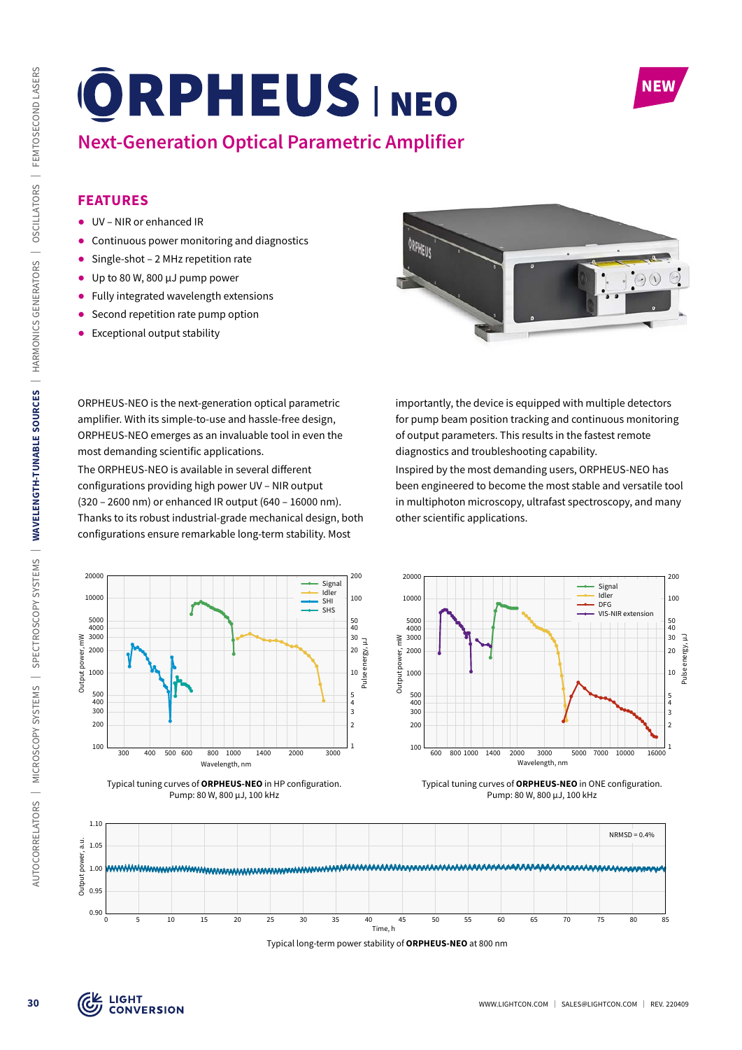

Pulse energy, µJ

3 4 5

Signal Idler DFG VIS-NIR extension

# **Next-Generation Optical Parametric Amplifier**

### **FEATURES**

- ᰋ UV NIR or enhanced IR
- ᰋ Continuous power monitoring and diagnostics
- Single-shot 2 MHz repetition rate
- ᰋ Up to 80 W, 800 µJ pump power
- ᰋ Fully integrated wavelength extensions
- Second repetition rate pump option
- Exceptional output stability



ORPHEUS-NEO is the next-generation optical parametric amplifier. With its simple-to-use and hassle-free design, ORPHEUS-NEO emerges as an invaluable tool in even the most demanding scientific applications.

The ORPHEUS-NEO is available in several different configurations providing high power UV – NIR output (320 – 2600 nm) or enhanced IR output (640 – 16000 nm). Thanks to its robust industrial-grade mechanical design, both configurations ensure remarkable long-term stability. Most

importantly, the device is equipped with multiple detectors for pump beam position tracking and continuous monitoring of output parameters. This results in the fastest remote diagnostics and troubleshooting capability.

Inspired by the most demanding users, ORPHEUS-NEO has been engineered to become the most stable and versatile tool in multiphoton microscopy, ultrafast spectroscopy, and many other scientific applications.







Typical tuning curves of **ORPHEUS-NEO** in ONE configuration. Pump: 80 W, 800 µJ, 100 kHz



Typical long-term power stability of **ORPHEUS-NEO** at 800 nm

Output power, mW